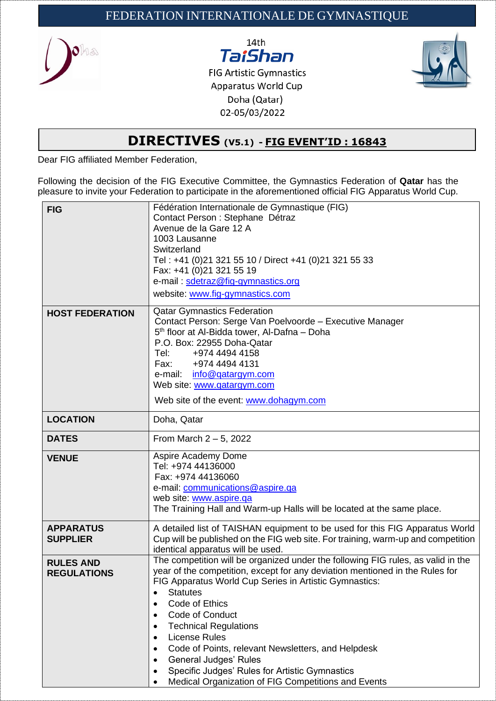



**FIG Artistic Gymnastics** Apparatus World Cup Doha (Qatar) 02-05/03/2022



## **DIRECTIVES (V5.1) - FIG EVENT'ID : 16843**

Dear FIG affiliated Member Federation,

Following the decision of the FIG Executive Committee, the Gymnastics Federation of **Qatar** has the pleasure to invite your Federation to participate in the aforementioned official FIG Apparatus World Cup.

| <b>FIG</b>                             | Fédération Internationale de Gymnastique (FIG)<br>Contact Person : Stephane Détraz<br>Avenue de la Gare 12 A<br>1003 Lausanne                                                                                                                                                                                                                                                                                                                                                                                                                                                        |
|----------------------------------------|--------------------------------------------------------------------------------------------------------------------------------------------------------------------------------------------------------------------------------------------------------------------------------------------------------------------------------------------------------------------------------------------------------------------------------------------------------------------------------------------------------------------------------------------------------------------------------------|
|                                        | Switzerland<br>Tel: +41 (0)21 321 55 10 / Direct +41 (0)21 321 55 33                                                                                                                                                                                                                                                                                                                                                                                                                                                                                                                 |
|                                        | Fax: +41 (0)21 321 55 19                                                                                                                                                                                                                                                                                                                                                                                                                                                                                                                                                             |
|                                        | e-mail: sdetraz@fig-gymnastics.org                                                                                                                                                                                                                                                                                                                                                                                                                                                                                                                                                   |
|                                        | website: www.fig-gymnastics.com                                                                                                                                                                                                                                                                                                                                                                                                                                                                                                                                                      |
| <b>HOST FEDERATION</b>                 | <b>Qatar Gymnastics Federation</b><br>Contact Person: Serge Van Poelvoorde - Executive Manager<br>5 <sup>th</sup> floor at Al-Bidda tower, Al-Dafna - Doha<br>P.O. Box: 22955 Doha-Qatar<br>Tel:<br>+974 4494 4158<br>+974 4494 4131<br>Fax: Fax<br>e-mail:<br>info@qatargym.com<br>Web site: www.qatargym.com<br>Web site of the event: www.dohagym.com                                                                                                                                                                                                                             |
| <b>LOCATION</b>                        | Doha, Qatar                                                                                                                                                                                                                                                                                                                                                                                                                                                                                                                                                                          |
| <b>DATES</b>                           | From March $2-5$ , 2022                                                                                                                                                                                                                                                                                                                                                                                                                                                                                                                                                              |
| <b>VENUE</b>                           | Aspire Academy Dome<br>Tel: +974 44136000<br>Fax: +974 44136060<br>e-mail: communications@aspire.qa<br>web site: www.aspire.qa<br>The Training Hall and Warm-up Halls will be located at the same place.                                                                                                                                                                                                                                                                                                                                                                             |
| <b>APPARATUS</b><br><b>SUPPLIER</b>    | A detailed list of TAISHAN equipment to be used for this FIG Apparatus World<br>Cup will be published on the FIG web site. For training, warm-up and competition<br>identical apparatus will be used.                                                                                                                                                                                                                                                                                                                                                                                |
| <b>RULES AND</b><br><b>REGULATIONS</b> | The competition will be organized under the following FIG rules, as valid in the<br>year of the competition, except for any deviation mentioned in the Rules for<br>FIG Apparatus World Cup Series in Artistic Gymnastics:<br><b>Statutes</b><br>Code of Ethics<br>Code of Conduct<br>$\bullet$<br><b>Technical Regulations</b><br>٠<br><b>License Rules</b><br>٠<br>Code of Points, relevant Newsletters, and Helpdesk<br>٠<br><b>General Judges' Rules</b><br>٠<br>Specific Judges' Rules for Artistic Gymnastics<br>٠<br>Medical Organization of FIG Competitions and Events<br>٠ |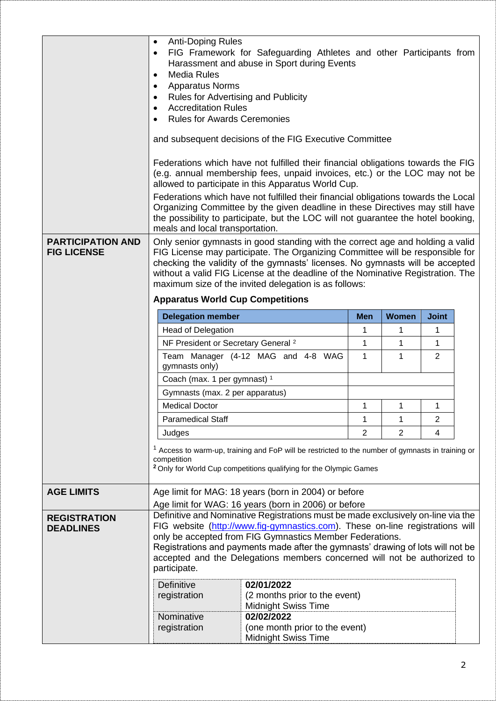| <b>PARTICIPATION AND</b><br><b>FIG LICENSE</b> | <b>Anti-Doping Rules</b><br>٠<br>FIG Framework for Safeguarding Athletes and other Participants from<br>٠<br>Harassment and abuse in Sport during Events<br><b>Media Rules</b><br>$\bullet$<br><b>Apparatus Norms</b><br>٠<br><b>Rules for Advertising and Publicity</b><br><b>Accreditation Rules</b><br><b>Rules for Awards Ceremonies</b><br>and subsequent decisions of the FIG Executive Committee<br>Federations which have not fulfilled their financial obligations towards the FIG<br>(e.g. annual membership fees, unpaid invoices, etc.) or the LOC may not be<br>allowed to participate in this Apparatus World Cup.<br>Federations which have not fulfilled their financial obligations towards the Local<br>Organizing Committee by the given deadline in these Directives may still have<br>the possibility to participate, but the LOC will not guarantee the hotel booking,<br>meals and local transportation.<br>Only senior gymnasts in good standing with the correct age and holding a valid<br>FIG License may participate. The Organizing Committee will be responsible for<br>checking the validity of the gymnasts' licenses. No gymnasts will be accepted<br>without a valid FIG License at the deadline of the Nominative Registration. The<br>maximum size of the invited delegation is as follows:<br><b>Apparatus World Cup Competitions</b> |                                                              |                |                |              |  |
|------------------------------------------------|----------------------------------------------------------------------------------------------------------------------------------------------------------------------------------------------------------------------------------------------------------------------------------------------------------------------------------------------------------------------------------------------------------------------------------------------------------------------------------------------------------------------------------------------------------------------------------------------------------------------------------------------------------------------------------------------------------------------------------------------------------------------------------------------------------------------------------------------------------------------------------------------------------------------------------------------------------------------------------------------------------------------------------------------------------------------------------------------------------------------------------------------------------------------------------------------------------------------------------------------------------------------------------------------------------------------------------------------------------------------------|--------------------------------------------------------------|----------------|----------------|--------------|--|
|                                                | <b>Delegation member</b>                                                                                                                                                                                                                                                                                                                                                                                                                                                                                                                                                                                                                                                                                                                                                                                                                                                                                                                                                                                                                                                                                                                                                                                                                                                                                                                                                   |                                                              | Men            | <b>Women</b>   | <b>Joint</b> |  |
|                                                | <b>Head of Delegation</b>                                                                                                                                                                                                                                                                                                                                                                                                                                                                                                                                                                                                                                                                                                                                                                                                                                                                                                                                                                                                                                                                                                                                                                                                                                                                                                                                                  |                                                              | 1              | 1              | 1            |  |
|                                                | NF President or Secretary General <sup>2</sup>                                                                                                                                                                                                                                                                                                                                                                                                                                                                                                                                                                                                                                                                                                                                                                                                                                                                                                                                                                                                                                                                                                                                                                                                                                                                                                                             |                                                              | 1              | 1              | 1            |  |
|                                                | Team Manager (4-12 MAG and 4-8 WAG<br>1<br>$\overline{2}$<br>1<br>gymnasts only)                                                                                                                                                                                                                                                                                                                                                                                                                                                                                                                                                                                                                                                                                                                                                                                                                                                                                                                                                                                                                                                                                                                                                                                                                                                                                           |                                                              |                |                |              |  |
|                                                | Coach (max. 1 per gymnast) <sup>1</sup>                                                                                                                                                                                                                                                                                                                                                                                                                                                                                                                                                                                                                                                                                                                                                                                                                                                                                                                                                                                                                                                                                                                                                                                                                                                                                                                                    |                                                              |                |                |              |  |
|                                                | Gymnasts (max. 2 per apparatus)                                                                                                                                                                                                                                                                                                                                                                                                                                                                                                                                                                                                                                                                                                                                                                                                                                                                                                                                                                                                                                                                                                                                                                                                                                                                                                                                            |                                                              |                |                |              |  |
|                                                | <b>Medical Doctor</b>                                                                                                                                                                                                                                                                                                                                                                                                                                                                                                                                                                                                                                                                                                                                                                                                                                                                                                                                                                                                                                                                                                                                                                                                                                                                                                                                                      |                                                              | $\mathbf{1}$   | $\mathbf{1}$   | 1            |  |
|                                                | <b>Paramedical Staff</b>                                                                                                                                                                                                                                                                                                                                                                                                                                                                                                                                                                                                                                                                                                                                                                                                                                                                                                                                                                                                                                                                                                                                                                                                                                                                                                                                                   |                                                              | 1              | 1              | 2            |  |
|                                                | Judges                                                                                                                                                                                                                                                                                                                                                                                                                                                                                                                                                                                                                                                                                                                                                                                                                                                                                                                                                                                                                                                                                                                                                                                                                                                                                                                                                                     |                                                              | $\overline{2}$ | $\overline{2}$ | 4            |  |
|                                                | <sup>1</sup> Access to warm-up, training and FoP will be restricted to the number of gymnasts in training or<br>competition<br><sup>2</sup> Only for World Cup competitions qualifying for the Olympic Games                                                                                                                                                                                                                                                                                                                                                                                                                                                                                                                                                                                                                                                                                                                                                                                                                                                                                                                                                                                                                                                                                                                                                               |                                                              |                |                |              |  |
| <b>AGE LIMITS</b>                              | Age limit for MAG: 18 years (born in 2004) or before                                                                                                                                                                                                                                                                                                                                                                                                                                                                                                                                                                                                                                                                                                                                                                                                                                                                                                                                                                                                                                                                                                                                                                                                                                                                                                                       |                                                              |                |                |              |  |
|                                                |                                                                                                                                                                                                                                                                                                                                                                                                                                                                                                                                                                                                                                                                                                                                                                                                                                                                                                                                                                                                                                                                                                                                                                                                                                                                                                                                                                            | Age limit for WAG: 16 years (born in 2006) or before         |                |                |              |  |
| <b>REGISTRATION</b><br><b>DEADLINES</b>        | Definitive and Nominative Registrations must be made exclusively on-line via the<br>FIG website (http://www.fig-gymnastics.com). These on-line registrations will<br>only be accepted from FIG Gymnastics Member Federations.<br>Registrations and payments made after the gymnasts' drawing of lots will not be<br>accepted and the Delegations members concerned will not be authorized to<br>participate.                                                                                                                                                                                                                                                                                                                                                                                                                                                                                                                                                                                                                                                                                                                                                                                                                                                                                                                                                               |                                                              |                |                |              |  |
|                                                | Definitive                                                                                                                                                                                                                                                                                                                                                                                                                                                                                                                                                                                                                                                                                                                                                                                                                                                                                                                                                                                                                                                                                                                                                                                                                                                                                                                                                                 | 02/01/2022                                                   |                |                |              |  |
|                                                | registration                                                                                                                                                                                                                                                                                                                                                                                                                                                                                                                                                                                                                                                                                                                                                                                                                                                                                                                                                                                                                                                                                                                                                                                                                                                                                                                                                               | (2 months prior to the event)<br><b>Midnight Swiss Time</b>  |                |                |              |  |
|                                                | 02/02/2022<br>Nominative                                                                                                                                                                                                                                                                                                                                                                                                                                                                                                                                                                                                                                                                                                                                                                                                                                                                                                                                                                                                                                                                                                                                                                                                                                                                                                                                                   |                                                              |                |                |              |  |
|                                                | registration                                                                                                                                                                                                                                                                                                                                                                                                                                                                                                                                                                                                                                                                                                                                                                                                                                                                                                                                                                                                                                                                                                                                                                                                                                                                                                                                                               | (one month prior to the event)<br><b>Midnight Swiss Time</b> |                |                |              |  |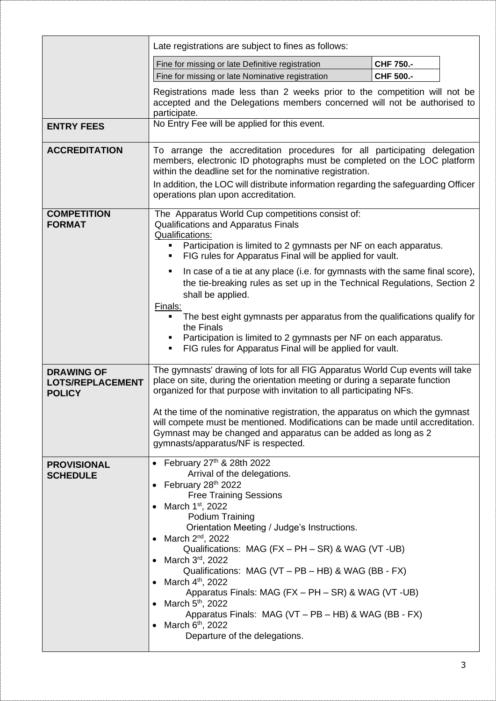|                                                               | Late registrations are subject to fines as follows:                                                                                                                                                                                                                                                     |            |  |
|---------------------------------------------------------------|---------------------------------------------------------------------------------------------------------------------------------------------------------------------------------------------------------------------------------------------------------------------------------------------------------|------------|--|
|                                                               | Fine for missing or late Definitive registration                                                                                                                                                                                                                                                        | CHF 750 .- |  |
|                                                               | Fine for missing or late Nominative registration                                                                                                                                                                                                                                                        | CHF 500 .- |  |
|                                                               | Registrations made less than 2 weeks prior to the competition will not be<br>accepted and the Delegations members concerned will not be authorised to<br>participate.                                                                                                                                   |            |  |
| <b>ENTRY FEES</b>                                             | No Entry Fee will be applied for this event.                                                                                                                                                                                                                                                            |            |  |
| <b>ACCREDITATION</b>                                          | To arrange the accreditation procedures for all participating delegation<br>members, electronic ID photographs must be completed on the LOC platform<br>within the deadline set for the nominative registration.<br>In addition, the LOC will distribute information regarding the safeguarding Officer |            |  |
|                                                               | operations plan upon accreditation.                                                                                                                                                                                                                                                                     |            |  |
| <b>COMPETITION</b><br><b>FORMAT</b>                           | The Apparatus World Cup competitions consist of:<br>Qualifications and Apparatus Finals<br>Qualifications:<br>Participation is limited to 2 gymnasts per NF on each apparatus.                                                                                                                          |            |  |
|                                                               | FIG rules for Apparatus Final will be applied for vault.<br>$\blacksquare$                                                                                                                                                                                                                              |            |  |
|                                                               | In case of a tie at any place (i.e. for gymnasts with the same final score),<br>$\blacksquare$<br>the tie-breaking rules as set up in the Technical Regulations, Section 2<br>shall be applied.                                                                                                         |            |  |
|                                                               | Finals:<br>The best eight gymnasts per apparatus from the qualifications qualify for<br>the Finals<br>Participation is limited to 2 gymnasts per NF on each apparatus.                                                                                                                                  |            |  |
|                                                               | FIG rules for Apparatus Final will be applied for vault.                                                                                                                                                                                                                                                |            |  |
| <b>DRAWING OF</b><br><b>LOTS/REPLACEMENT</b><br><b>POLICY</b> | The gymnasts' drawing of lots for all FIG Apparatus World Cup events will take<br>place on site, during the orientation meeting or during a separate function<br>organized for that purpose with invitation to all participating NFs.                                                                   |            |  |
|                                                               | At the time of the nominative registration, the apparatus on which the gymnast<br>will compete must be mentioned. Modifications can be made until accreditation.<br>Gymnast may be changed and apparatus can be added as long as 2<br>gymnasts/apparatus/NF is respected.                               |            |  |
| <b>PROVISIONAL</b>                                            | February 27 <sup>th</sup> & 28th 2022                                                                                                                                                                                                                                                                   |            |  |
| <b>SCHEDULE</b>                                               | Arrival of the delegations.<br>February 28 <sup>th</sup> 2022                                                                                                                                                                                                                                           |            |  |
|                                                               | <b>Free Training Sessions</b>                                                                                                                                                                                                                                                                           |            |  |
|                                                               | March 1 <sup>st</sup> , 2022                                                                                                                                                                                                                                                                            |            |  |
|                                                               | Podium Training<br>Orientation Meeting / Judge's Instructions.                                                                                                                                                                                                                                          |            |  |
|                                                               | March $2^{nd}$ , 2022                                                                                                                                                                                                                                                                                   |            |  |
|                                                               | Qualifications: MAG (FX - PH - SR) & WAG (VT - UB)<br>March 3rd, 2022                                                                                                                                                                                                                                   |            |  |
|                                                               | Qualifications: MAG (VT – PB – HB) & WAG (BB - FX)<br>March 4 <sup>th</sup> , 2022                                                                                                                                                                                                                      |            |  |
|                                                               | Apparatus Finals: MAG (FX - PH - SR) & WAG (VT -UB)                                                                                                                                                                                                                                                     |            |  |
|                                                               | March 5 <sup>th</sup> , 2022<br>Apparatus Finals: MAG (VT - PB - HB) & WAG (BB - FX)                                                                                                                                                                                                                    |            |  |
|                                                               | March 6 <sup>th</sup> , 2022                                                                                                                                                                                                                                                                            |            |  |
|                                                               | Departure of the delegations.                                                                                                                                                                                                                                                                           |            |  |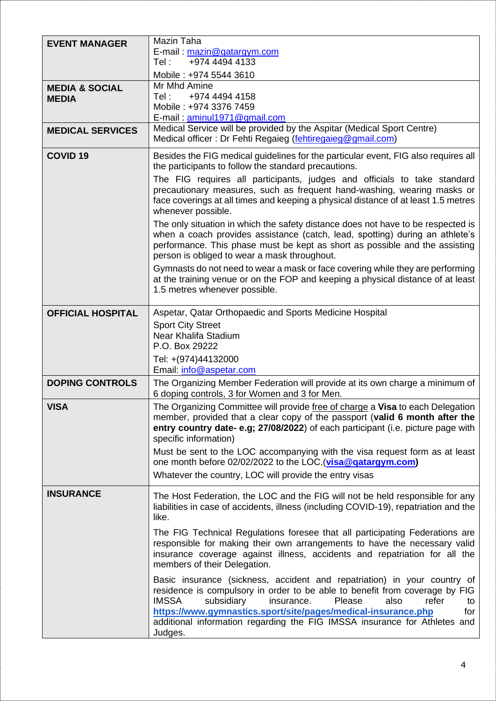| <b>EVENT MANAGER</b>                      | Mazin Taha<br>E-mail: mazin@qatargym.com<br>+974 4494 4133<br>Tel:<br>Mobile: +974 5544 3610                                                                                                                                                                                                                                                                                                                                                                                                                                                                                                                                                                                                                                                                                                                                                                      |
|-------------------------------------------|-------------------------------------------------------------------------------------------------------------------------------------------------------------------------------------------------------------------------------------------------------------------------------------------------------------------------------------------------------------------------------------------------------------------------------------------------------------------------------------------------------------------------------------------------------------------------------------------------------------------------------------------------------------------------------------------------------------------------------------------------------------------------------------------------------------------------------------------------------------------|
| <b>MEDIA &amp; SOCIAL</b><br><b>MEDIA</b> | Mr Mhd Amine<br>+974 4494 4158<br>Tel:<br>Mobile: +974 3376 7459<br>E-mail: aminul1971@gmail.com                                                                                                                                                                                                                                                                                                                                                                                                                                                                                                                                                                                                                                                                                                                                                                  |
| <b>MEDICAL SERVICES</b>                   | Medical Service will be provided by the Aspitar (Medical Sport Centre)<br>Medical officer: Dr Fehti Regaieg (fehtiregaieg@gmail.com)                                                                                                                                                                                                                                                                                                                                                                                                                                                                                                                                                                                                                                                                                                                              |
| <b>COVID 19</b>                           | Besides the FIG medical guidelines for the particular event, FIG also requires all<br>the participants to follow the standard precautions.<br>The FIG requires all participants, judges and officials to take standard<br>precautionary measures, such as frequent hand-washing, wearing masks or<br>face coverings at all times and keeping a physical distance of at least 1.5 metres<br>whenever possible.<br>The only situation in which the safety distance does not have to be respected is<br>when a coach provides assistance (catch, lead, spotting) during an athlete's<br>performance. This phase must be kept as short as possible and the assisting                                                                                                                                                                                                  |
|                                           | person is obliged to wear a mask throughout.<br>Gymnasts do not need to wear a mask or face covering while they are performing<br>at the training venue or on the FOP and keeping a physical distance of at least<br>1.5 metres whenever possible.                                                                                                                                                                                                                                                                                                                                                                                                                                                                                                                                                                                                                |
| <b>OFFICIAL HOSPITAL</b>                  | Aspetar, Qatar Orthopaedic and Sports Medicine Hospital<br><b>Sport City Street</b><br>Near Khalifa Stadium<br>P.O. Box 29222<br>Tel: +(974)44132000                                                                                                                                                                                                                                                                                                                                                                                                                                                                                                                                                                                                                                                                                                              |
| <b>DOPING CONTROLS</b>                    | Email: info@aspetar.com<br>The Organizing Member Federation will provide at its own charge a minimum of<br>6 doping controls, 3 for Women and 3 for Men.                                                                                                                                                                                                                                                                                                                                                                                                                                                                                                                                                                                                                                                                                                          |
| <b>VISA</b>                               | The Organizing Committee will provide free of charge a Visa to each Delegation<br>member, provided that a clear copy of the passport (valid 6 month after the<br>entry country date-e.g; 27/08/2022) of each participant (i.e. picture page with<br>specific information)<br>Must be sent to the LOC accompanying with the visa request form as at least<br>one month before 02/02/2022 to the LOC. (visa@gatargym.com)<br>Whatever the country, LOC will provide the entry visas                                                                                                                                                                                                                                                                                                                                                                                 |
| <b>INSURANCE</b>                          | The Host Federation, the LOC and the FIG will not be held responsible for any<br>liabilities in case of accidents, illness (including COVID-19), repatriation and the<br>like.<br>The FIG Technical Regulations foresee that all participating Federations are<br>responsible for making their own arrangements to have the necessary valid<br>insurance coverage against illness, accidents and repatriation for all the<br>members of their Delegation.<br>Basic insurance (sickness, accident and repatriation) in your country of<br>residence is compulsory in order to be able to benefit from coverage by FIG<br><b>IMSSA</b><br>subsidiary<br>insurance.<br>Please<br>also<br>refer<br>to<br>https://www.gymnastics.sport/site/pages/medical-insurance.php<br>for<br>additional information regarding the FIG IMSSA insurance for Athletes and<br>Judges. |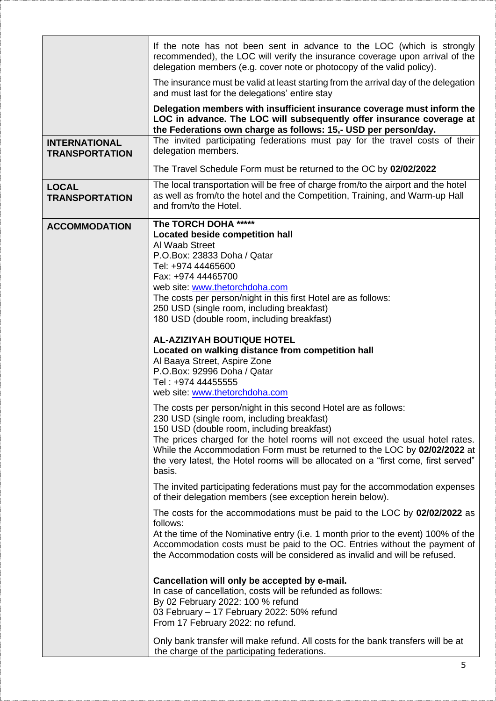|                                               | If the note has not been sent in advance to the LOC (which is strongly<br>recommended), the LOC will verify the insurance coverage upon arrival of the<br>delegation members (e.g. cover note or photocopy of the valid policy).                                                                                                                                                                                                                                                      |
|-----------------------------------------------|---------------------------------------------------------------------------------------------------------------------------------------------------------------------------------------------------------------------------------------------------------------------------------------------------------------------------------------------------------------------------------------------------------------------------------------------------------------------------------------|
|                                               | The insurance must be valid at least starting from the arrival day of the delegation<br>and must last for the delegations' entire stay                                                                                                                                                                                                                                                                                                                                                |
|                                               | Delegation members with insufficient insurance coverage must inform the<br>LOC in advance. The LOC will subsequently offer insurance coverage at<br>the Federations own charge as follows: 15,- USD per person/day.                                                                                                                                                                                                                                                                   |
| <b>INTERNATIONAL</b><br><b>TRANSPORTATION</b> | The invited participating federations must pay for the travel costs of their<br>delegation members.                                                                                                                                                                                                                                                                                                                                                                                   |
|                                               | The Travel Schedule Form must be returned to the OC by 02/02/2022                                                                                                                                                                                                                                                                                                                                                                                                                     |
| <b>LOCAL</b><br><b>TRANSPORTATION</b>         | The local transportation will be free of charge from/to the airport and the hotel<br>as well as from/to the hotel and the Competition, Training, and Warm-up Hall<br>and from/to the Hotel.                                                                                                                                                                                                                                                                                           |
| <b>ACCOMMODATION</b>                          | The TORCH DOHA *****<br><b>Located beside competition hall</b><br>Al Waab Street<br>P.O.Box: 23833 Doha / Qatar<br>Tel: +974 44465600<br>Fax: +974 44465700<br>web site: www.thetorchdoha.com<br>The costs per person/night in this first Hotel are as follows:<br>250 USD (single room, including breakfast)<br>180 USD (double room, including breakfast)<br><b>AL-AZIZIYAH BOUTIQUE HOTEL</b><br>Located on walking distance from competition hall<br>Al Baaya Street, Aspire Zone |
|                                               | P.O.Box: 92996 Doha / Qatar<br>Tel: +974 44455555<br>web site: www.thetorchdoha.com                                                                                                                                                                                                                                                                                                                                                                                                   |
|                                               | The costs per person/night in this second Hotel are as follows:<br>230 USD (single room, including breakfast)<br>150 USD (double room, including breakfast)<br>The prices charged for the hotel rooms will not exceed the usual hotel rates.<br>While the Accommodation Form must be returned to the LOC by 02/02/2022 at<br>the very latest, the Hotel rooms will be allocated on a "first come, first served"<br>basis.                                                             |
|                                               | The invited participating federations must pay for the accommodation expenses<br>of their delegation members (see exception herein below).                                                                                                                                                                                                                                                                                                                                            |
|                                               | The costs for the accommodations must be paid to the LOC by 02/02/2022 as<br>follows:<br>At the time of the Nominative entry (i.e. 1 month prior to the event) 100% of the<br>Accommodation costs must be paid to the OC. Entries without the payment of<br>the Accommodation costs will be considered as invalid and will be refused.                                                                                                                                                |
|                                               | Cancellation will only be accepted by e-mail.<br>In case of cancellation, costs will be refunded as follows:<br>By 02 February 2022: 100 % refund<br>03 February - 17 February 2022: 50% refund<br>From 17 February 2022: no refund.                                                                                                                                                                                                                                                  |
|                                               | Only bank transfer will make refund. All costs for the bank transfers will be at<br>the charge of the participating federations.                                                                                                                                                                                                                                                                                                                                                      |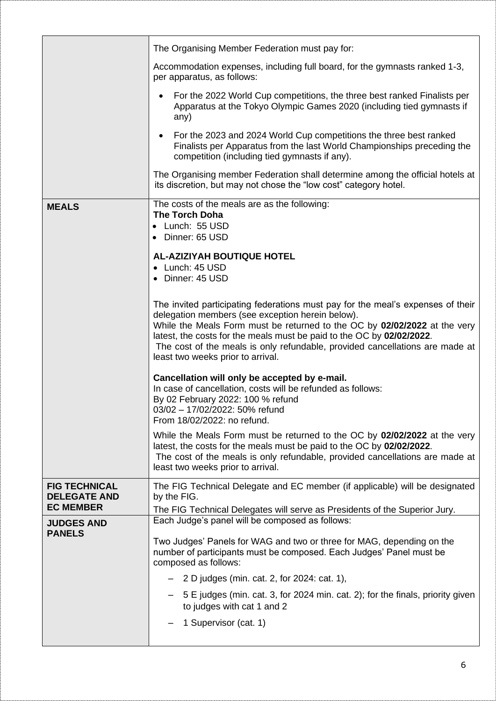|                                                                 | The Organising Member Federation must pay for:                                                                                                                                                                                                                                                                                                                                                                 |
|-----------------------------------------------------------------|----------------------------------------------------------------------------------------------------------------------------------------------------------------------------------------------------------------------------------------------------------------------------------------------------------------------------------------------------------------------------------------------------------------|
|                                                                 | Accommodation expenses, including full board, for the gymnasts ranked 1-3,<br>per apparatus, as follows:                                                                                                                                                                                                                                                                                                       |
|                                                                 | For the 2022 World Cup competitions, the three best ranked Finalists per<br>Apparatus at the Tokyo Olympic Games 2020 (including tied gymnasts if<br>any)                                                                                                                                                                                                                                                      |
|                                                                 | For the 2023 and 2024 World Cup competitions the three best ranked<br>Finalists per Apparatus from the last World Championships preceding the<br>competition (including tied gymnasts if any).                                                                                                                                                                                                                 |
|                                                                 | The Organising member Federation shall determine among the official hotels at<br>its discretion, but may not chose the "low cost" category hotel.                                                                                                                                                                                                                                                              |
| <b>MEALS</b>                                                    | The costs of the meals are as the following:<br><b>The Torch Doha</b><br>• Lunch: 55 USD<br>Dinner: 65 USD                                                                                                                                                                                                                                                                                                     |
|                                                                 | <b>AL-AZIZIYAH BOUTIQUE HOTEL</b><br>• Lunch: 45 USD<br>• Dinner: 45 USD                                                                                                                                                                                                                                                                                                                                       |
|                                                                 | The invited participating federations must pay for the meal's expenses of their<br>delegation members (see exception herein below).<br>While the Meals Form must be returned to the OC by 02/02/2022 at the very<br>latest, the costs for the meals must be paid to the OC by 02/02/2022.<br>The cost of the meals is only refundable, provided cancellations are made at<br>least two weeks prior to arrival. |
|                                                                 | Cancellation will only be accepted by e-mail.<br>In case of cancellation, costs will be refunded as follows:<br>By 02 February 2022: 100 % refund<br>03/02 - 17/02/2022: 50% refund<br>From 18/02/2022: no refund.                                                                                                                                                                                             |
|                                                                 | While the Meals Form must be returned to the OC by 02/02/2022 at the very<br>latest, the costs for the meals must be paid to the OC by 02/02/2022.<br>The cost of the meals is only refundable, provided cancellations are made at<br>least two weeks prior to arrival.                                                                                                                                        |
| <b>FIG TECHNICAL</b><br><b>DELEGATE AND</b><br><b>EC MEMBER</b> | The FIG Technical Delegate and EC member (if applicable) will be designated<br>by the FIG.                                                                                                                                                                                                                                                                                                                     |
| <b>JUDGES AND</b>                                               | The FIG Technical Delegates will serve as Presidents of the Superior Jury.<br>Each Judge's panel will be composed as follows:                                                                                                                                                                                                                                                                                  |
| <b>PANELS</b>                                                   | Two Judges' Panels for WAG and two or three for MAG, depending on the<br>number of participants must be composed. Each Judges' Panel must be<br>composed as follows:                                                                                                                                                                                                                                           |
|                                                                 | $-$ 2 D judges (min. cat. 2, for 2024: cat. 1),                                                                                                                                                                                                                                                                                                                                                                |
|                                                                 | 5 E judges (min. cat. 3, for 2024 min. cat. 2); for the finals, priority given<br>to judges with cat 1 and 2                                                                                                                                                                                                                                                                                                   |
|                                                                 | 1 Supervisor (cat. 1)                                                                                                                                                                                                                                                                                                                                                                                          |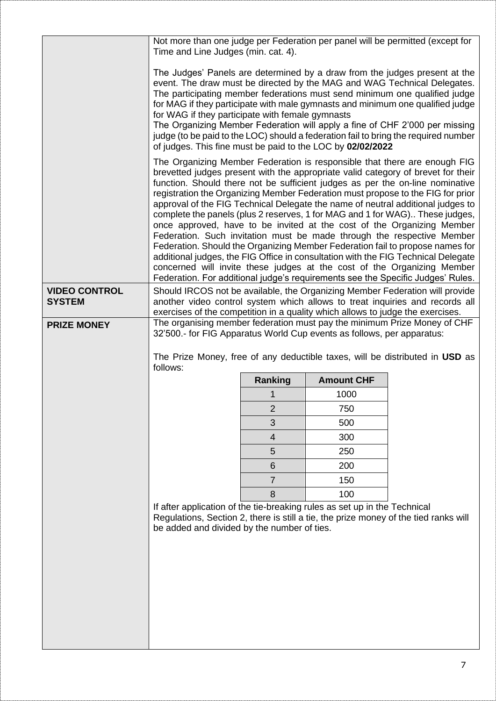|                      | Not more than one judge per Federation per panel will be permitted (except for<br>Time and Line Judges (min. cat. 4).                                                                                                                                                                                                                                                                                                                                                                                                                                                                                                                                                                                                                                                                                                                                                                                                                                                                        |                |                   |                                                                              |
|----------------------|----------------------------------------------------------------------------------------------------------------------------------------------------------------------------------------------------------------------------------------------------------------------------------------------------------------------------------------------------------------------------------------------------------------------------------------------------------------------------------------------------------------------------------------------------------------------------------------------------------------------------------------------------------------------------------------------------------------------------------------------------------------------------------------------------------------------------------------------------------------------------------------------------------------------------------------------------------------------------------------------|----------------|-------------------|------------------------------------------------------------------------------|
|                      | The Judges' Panels are determined by a draw from the judges present at the<br>event. The draw must be directed by the MAG and WAG Technical Delegates.<br>The participating member federations must send minimum one qualified judge<br>for MAG if they participate with male gymnasts and minimum one qualified judge<br>for WAG if they participate with female gymnasts<br>The Organizing Member Federation will apply a fine of CHF 2'000 per missing<br>judge (to be paid to the LOC) should a federation fail to bring the required number<br>of judges. This fine must be paid to the LOC by 02/02/2022                                                                                                                                                                                                                                                                                                                                                                               |                |                   |                                                                              |
|                      | The Organizing Member Federation is responsible that there are enough FIG<br>brevetted judges present with the appropriate valid category of brevet for their<br>function. Should there not be sufficient judges as per the on-line nominative<br>registration the Organizing Member Federation must propose to the FIG for prior<br>approval of the FIG Technical Delegate the name of neutral additional judges to<br>complete the panels (plus 2 reserves, 1 for MAG and 1 for WAG) These judges,<br>once approved, have to be invited at the cost of the Organizing Member<br>Federation. Such invitation must be made through the respective Member<br>Federation. Should the Organizing Member Federation fail to propose names for<br>additional judges, the FIG Office in consultation with the FIG Technical Delegate<br>concerned will invite these judges at the cost of the Organizing Member<br>Federation. For additional judge's requirements see the Specific Judges' Rules. |                |                   |                                                                              |
| <b>VIDEO CONTROL</b> |                                                                                                                                                                                                                                                                                                                                                                                                                                                                                                                                                                                                                                                                                                                                                                                                                                                                                                                                                                                              |                |                   | Should IRCOS not be available, the Organizing Member Federation will provide |
| <b>SYSTEM</b>        | another video control system which allows to treat inquiries and records all                                                                                                                                                                                                                                                                                                                                                                                                                                                                                                                                                                                                                                                                                                                                                                                                                                                                                                                 |                |                   |                                                                              |
| <b>PRIZE MONEY</b>   | exercises of the competition in a quality which allows to judge the exercises.<br>The organising member federation must pay the minimum Prize Money of CHF<br>32'500.- for FIG Apparatus World Cup events as follows, per apparatus:                                                                                                                                                                                                                                                                                                                                                                                                                                                                                                                                                                                                                                                                                                                                                         |                |                   |                                                                              |
|                      | The Prize Money, free of any deductible taxes, will be distributed in USD as                                                                                                                                                                                                                                                                                                                                                                                                                                                                                                                                                                                                                                                                                                                                                                                                                                                                                                                 |                |                   |                                                                              |
|                      | follows:                                                                                                                                                                                                                                                                                                                                                                                                                                                                                                                                                                                                                                                                                                                                                                                                                                                                                                                                                                                     |                | <b>Amount CHF</b> |                                                                              |
|                      |                                                                                                                                                                                                                                                                                                                                                                                                                                                                                                                                                                                                                                                                                                                                                                                                                                                                                                                                                                                              | Ranking<br>1   | 1000              |                                                                              |
|                      |                                                                                                                                                                                                                                                                                                                                                                                                                                                                                                                                                                                                                                                                                                                                                                                                                                                                                                                                                                                              | $\overline{2}$ | 750               |                                                                              |
|                      |                                                                                                                                                                                                                                                                                                                                                                                                                                                                                                                                                                                                                                                                                                                                                                                                                                                                                                                                                                                              | 3              | 500               |                                                                              |
|                      |                                                                                                                                                                                                                                                                                                                                                                                                                                                                                                                                                                                                                                                                                                                                                                                                                                                                                                                                                                                              | $\overline{4}$ | 300               |                                                                              |
|                      |                                                                                                                                                                                                                                                                                                                                                                                                                                                                                                                                                                                                                                                                                                                                                                                                                                                                                                                                                                                              | 5              | 250               |                                                                              |
|                      |                                                                                                                                                                                                                                                                                                                                                                                                                                                                                                                                                                                                                                                                                                                                                                                                                                                                                                                                                                                              | 6              | 200               |                                                                              |
|                      |                                                                                                                                                                                                                                                                                                                                                                                                                                                                                                                                                                                                                                                                                                                                                                                                                                                                                                                                                                                              | $\overline{7}$ | 150               |                                                                              |
|                      | If after application of the tie-breaking rules as set up in the Technical                                                                                                                                                                                                                                                                                                                                                                                                                                                                                                                                                                                                                                                                                                                                                                                                                                                                                                                    | 8              | 100               |                                                                              |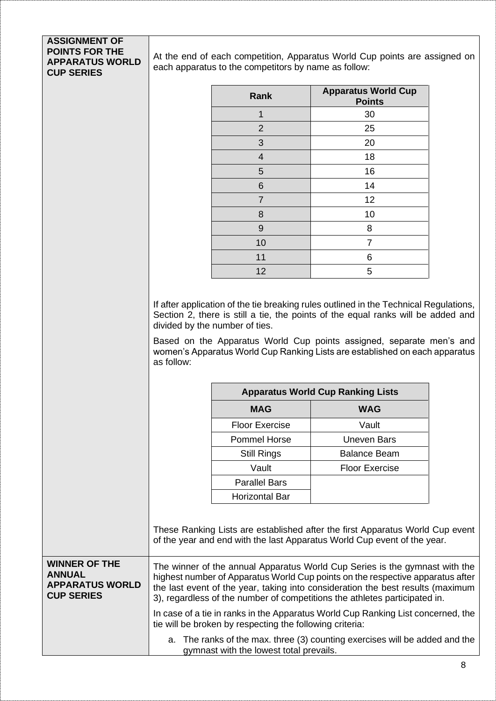## **ASSIGNMENT OF POINTS FOR THE APPARATUS WORLD CUP SERIES**

At the end of each competition, Apparatus World Cup points are assigned on each apparatus to the competitors by name as follow:

| <b>Rank</b>             | <b>Apparatus World Cup</b><br><b>Points</b> |
|-------------------------|---------------------------------------------|
| 1                       | 30                                          |
| $\overline{2}$          | 25                                          |
| 3                       | 20                                          |
| $\overline{\mathbf{4}}$ | 18                                          |
| 5                       | 16                                          |
| 6                       | 14                                          |
| $\overline{7}$          | 12                                          |
| 8                       | 10                                          |
| 9                       | 8                                           |
| 10                      | 7                                           |
| 11                      | 6                                           |
| 12                      | 5                                           |

If after application of the tie breaking rules outlined in the Technical Regulations, Section 2, there is still a tie, the points of the equal ranks will be added and divided by the number of ties.

Based on the Apparatus World Cup points assigned, separate men's and women's Apparatus World Cup Ranking Lists are established on each apparatus as follow:

|                                                                                      |                                                                                                                                                                                                                                                                                                                                                                                                                    |                                                          | <b>Apparatus World Cup Ranking Lists</b>                                                                                                                  |  |
|--------------------------------------------------------------------------------------|--------------------------------------------------------------------------------------------------------------------------------------------------------------------------------------------------------------------------------------------------------------------------------------------------------------------------------------------------------------------------------------------------------------------|----------------------------------------------------------|-----------------------------------------------------------------------------------------------------------------------------------------------------------|--|
|                                                                                      |                                                                                                                                                                                                                                                                                                                                                                                                                    | <b>MAG</b>                                               | <b>WAG</b>                                                                                                                                                |  |
|                                                                                      |                                                                                                                                                                                                                                                                                                                                                                                                                    | <b>Floor Exercise</b>                                    | Vault                                                                                                                                                     |  |
|                                                                                      |                                                                                                                                                                                                                                                                                                                                                                                                                    | <b>Pommel Horse</b>                                      | <b>Uneven Bars</b>                                                                                                                                        |  |
|                                                                                      |                                                                                                                                                                                                                                                                                                                                                                                                                    | <b>Still Rings</b>                                       | <b>Balance Beam</b>                                                                                                                                       |  |
|                                                                                      |                                                                                                                                                                                                                                                                                                                                                                                                                    | Vault                                                    | <b>Floor Exercise</b>                                                                                                                                     |  |
|                                                                                      |                                                                                                                                                                                                                                                                                                                                                                                                                    | <b>Parallel Bars</b>                                     |                                                                                                                                                           |  |
|                                                                                      |                                                                                                                                                                                                                                                                                                                                                                                                                    | <b>Horizontal Bar</b>                                    |                                                                                                                                                           |  |
|                                                                                      |                                                                                                                                                                                                                                                                                                                                                                                                                    |                                                          | These Ranking Lists are established after the first Apparatus World Cup event<br>of the year and end with the last Apparatus World Cup event of the year. |  |
| <b>WINNER OF THE</b><br><b>ANNUAL</b><br><b>APPARATUS WORLD</b><br><b>CUP SERIES</b> | The winner of the annual Apparatus World Cup Series is the gymnast with the<br>highest number of Apparatus World Cup points on the respective apparatus after<br>the last event of the year, taking into consideration the best results (maximum<br>3), regardless of the number of competitions the athletes participated in.<br>In case of a tie in ranks in the Apparatus World Cup Ranking List concerned, the |                                                          |                                                                                                                                                           |  |
|                                                                                      |                                                                                                                                                                                                                                                                                                                                                                                                                    | tie will be broken by respecting the following criteria: |                                                                                                                                                           |  |

a. The ranks of the max. three (3) counting exercises will be added and the gymnast with the lowest total prevails.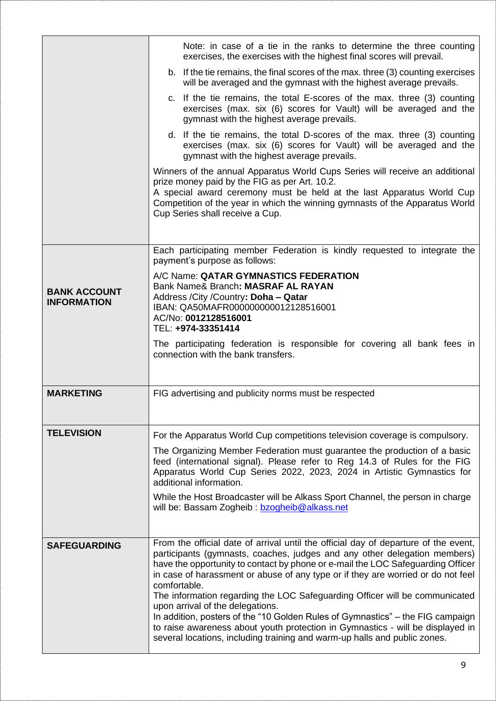|                                           | Note: in case of a tie in the ranks to determine the three counting<br>exercises, the exercises with the highest final scores will prevail.                                                                                                                                                                                                                                                                                                                                                                                                                                                                                                                                                                                 |
|-------------------------------------------|-----------------------------------------------------------------------------------------------------------------------------------------------------------------------------------------------------------------------------------------------------------------------------------------------------------------------------------------------------------------------------------------------------------------------------------------------------------------------------------------------------------------------------------------------------------------------------------------------------------------------------------------------------------------------------------------------------------------------------|
|                                           | b. If the tie remains, the final scores of the max. three (3) counting exercises<br>will be averaged and the gymnast with the highest average prevails.                                                                                                                                                                                                                                                                                                                                                                                                                                                                                                                                                                     |
|                                           | c. If the tie remains, the total E-scores of the max. three (3) counting<br>exercises (max. six (6) scores for Vault) will be averaged and the<br>gymnast with the highest average prevails.                                                                                                                                                                                                                                                                                                                                                                                                                                                                                                                                |
|                                           | d. If the tie remains, the total D-scores of the max. three (3) counting<br>exercises (max. six (6) scores for Vault) will be averaged and the<br>gymnast with the highest average prevails.                                                                                                                                                                                                                                                                                                                                                                                                                                                                                                                                |
|                                           | Winners of the annual Apparatus World Cups Series will receive an additional<br>prize money paid by the FIG as per Art. 10.2.<br>A special award ceremony must be held at the last Apparatus World Cup<br>Competition of the year in which the winning gymnasts of the Apparatus World<br>Cup Series shall receive a Cup.                                                                                                                                                                                                                                                                                                                                                                                                   |
|                                           | Each participating member Federation is kindly requested to integrate the<br>payment's purpose as follows:                                                                                                                                                                                                                                                                                                                                                                                                                                                                                                                                                                                                                  |
| <b>BANK ACCOUNT</b><br><b>INFORMATION</b> | A/C Name: QATAR GYMNASTICS FEDERATION<br>Bank Name& Branch: MASRAF AL RAYAN<br>Address / City / Country: Doha - Qatar<br>IBAN: QA50MAFR000000000012128516001<br>AC/No: 0012128516001<br>TEL: +974-33351414                                                                                                                                                                                                                                                                                                                                                                                                                                                                                                                  |
|                                           | The participating federation is responsible for covering all bank fees in<br>connection with the bank transfers.                                                                                                                                                                                                                                                                                                                                                                                                                                                                                                                                                                                                            |
| <b>MARKETING</b>                          | FIG advertising and publicity norms must be respected                                                                                                                                                                                                                                                                                                                                                                                                                                                                                                                                                                                                                                                                       |
| <b>TELEVISION</b>                         | For the Apparatus World Cup competitions television coverage is compulsory.                                                                                                                                                                                                                                                                                                                                                                                                                                                                                                                                                                                                                                                 |
|                                           | The Organizing Member Federation must guarantee the production of a basic<br>feed (international signal). Please refer to Reg 14.3 of Rules for the FIG<br>Apparatus World Cup Series 2022, 2023, 2024 in Artistic Gymnastics for<br>additional information.                                                                                                                                                                                                                                                                                                                                                                                                                                                                |
|                                           | While the Host Broadcaster will be Alkass Sport Channel, the person in charge<br>will be: Bassam Zogheib: bzogheib@alkass.net                                                                                                                                                                                                                                                                                                                                                                                                                                                                                                                                                                                               |
| <b>SAFEGUARDING</b>                       | From the official date of arrival until the official day of departure of the event,<br>participants (gymnasts, coaches, judges and any other delegation members)<br>have the opportunity to contact by phone or e-mail the LOC Safeguarding Officer<br>in case of harassment or abuse of any type or if they are worried or do not feel<br>comfortable.<br>The information regarding the LOC Safeguarding Officer will be communicated<br>upon arrival of the delegations.<br>In addition, posters of the "10 Golden Rules of Gymnastics" – the FIG campaign<br>to raise awareness about youth protection in Gymnastics - will be displayed in<br>several locations, including training and warm-up halls and public zones. |
|                                           |                                                                                                                                                                                                                                                                                                                                                                                                                                                                                                                                                                                                                                                                                                                             |